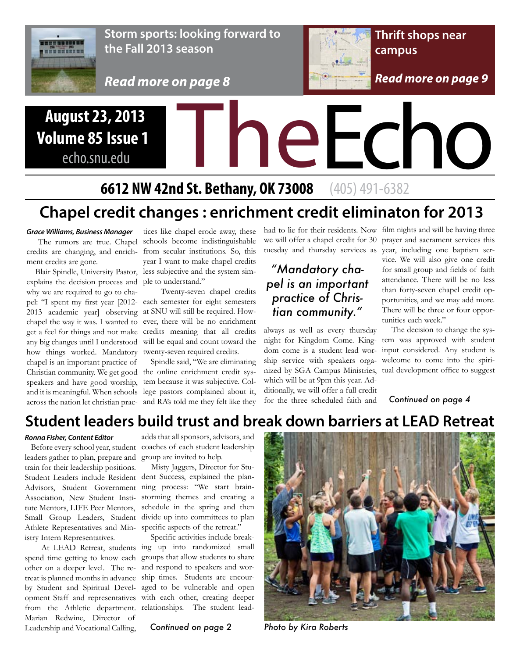

**Storm sports: looking forward to the Fall 2013 season**

*Read more on page 8*



## August 23, 2013<br>
olume 85 Issue 1<br>
echo.snu.edu<br>
6612 NW 42rd St. Pothery, OK 72008 (405) 401 6292 **Volume 85 Issue 1** echo.snu.edu

## **6612 NW 42nd St. Bethany, OK 73008** (405) 491-6382

## **Chapel credit changes : enrichment credit eliminaton for 2013**

#### *Grace Williams, Business Manager*

credits are changing, and enrich-from secular institutions. So, this ment credits are gone.

explains the decision process and ple to understand." why we are required to go to cha-2013 academic year] observing at SNU will still be required. Howany big changes until I understood how things worked. Mandatory twenty-seven required credits. chapel is an important practice of speakers and have good worship,

 The rumors are true. Chapel schools become indistinguishable Blair Spindle, University Pastor, less subjective and the system simtices like chapel erode away, these year I want to make chapel credits

pel: "I spent my first year [2012- each semester for eight semesters chapel the way it was. I wanted to ever, there will be no enrichment get a feel for things and not make credits meaning that all credits Twenty-seven chapel credits will be equal and count toward the

Christian community. We get good the online enrichment credit sysand it is meaningful. When schools lege pastors complained about it, across the nation let christian prac-and RA's told me they felt like they Spindle said, "We are eliminating tem because it was subjective. Colhad to lie for their residents. Now film nights and will be having three

#### *"Mandatory chapel is an important practice of Christian community."*

always as well as every thursday dom come is a student lead worship service with speakers orgawhich will be at 9pm this year. Additionally, we will offer a full credit for the three scheduled faith and

we will offer a chapel credit for 30 prayer and sacrament services this tuesday and thursday services as year, including one baptism service. We will also give one credit

for small group and fields of faith attendance. There will be no less than forty-seven chapel credit opportunities, and we may add more. There will be three or four opportunities each week."

night for Kingdom Come. King-tem was approved with student nized by SGA Campus Ministries, tual development office to suggest The decision to change the sysinput considered. Any student is welcome to come into the spiri-

*Continued on page 4*

#### **Student leaders build trust and break down barriers at LEAD Retreat**

#### *Ronna Fisher, Content Editor*

leaders gather to plan, prepare and group are invited to help. train for their leadership positions. Association, New Student Institute Mentors, LIFE Peer Mentors, Athlete Representatives and Min-specific aspects of the retreat." istry Intern Representatives.

other on a deeper level. The reby Student and Spiritual Develfrom the Athletic department. relationships. The student lead-Marian Redwine, Director of Leadership and Vocational Calling,

 Before every school year, student coaches of each student leadership adds that all sponsors, advisors, and

Student Leaders include Resident dent Success, explained the plan-Advisors, Student Government ning process: "We start brain-Small Group Leaders, Student divide up into committees to plan Misty Jaggers, Director for Stustorming themes and creating a schedule in the spring and then

 At LEAD Retreat, students ing up into randomized small spend time getting to know each groups that allow students to share treat is planned months in advance ship times. Students are encouropment Staff and representatives with each other, creating deeper Specific activities include breakand respond to speakers and woraged to be vulnerable and open

*Continued on page 2*



*Photo by Kira Roberts*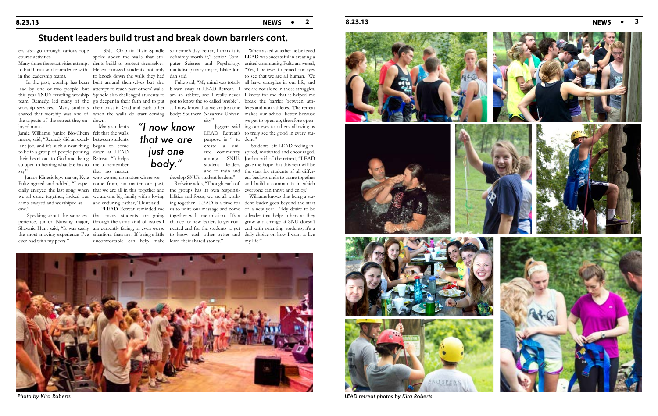## **8.23.13 NEWS 2 8.23.13 NEWS 3**

#### **Student leaders build trust and break down barriers cont.**

cially enjoyed the last song when that we are all in this together and we all came together, locked our we are one big family with a loving bilities and focus, we are all workand enduring Father," Hunt said.

 Many students that no matter

the aspects of the retreat they en- down. joyed most.

Jamie Williams, junior Bio-Chem felt that the walls major, said, "Remedy did an excel- between students lent job, and it's such a neat thing began to come to be in a group of people pouring down at LEAD their heart out to God and being Retreat. "It helps so open to hearing what He has to me to remember say."

Junior Kinesiology major, Kyle who we are, no matter where we Fultz agreed and added, "I espe- come from, no matter our past, arms, swayed and worshiped as one."

ers also go through various rope course activities.

in the leadership teams.

 SNU Chaplain Blair Spindle someone's day better, I think it is When asked whether he believed puter Science and Psychology united community, Fultz answered, Fultz said, "My mind was totally all have struggles in our life, and Jaggers said ing our eyes to others, allowing us LEAD Retreat's to truly see the good in every stuto see that we are all human. We we get to open up, therefore open-

> Redwine adds, "Though each of and build a community in which the groups has its own responsi-everyone can thrive and enjoy."

 "LEAD Retreat reminded me us to unite our message and come of a new year: "My desire to be Speaking about the same ex- that many students are going together with one mission. It's a a leader that helps others as they perience, junior Nursing major, through the same kind of issues I chance for new leaders to get con- grow and change at SNU doesn't Shawnie Hunt said, "It was easily am currently facing, or even worse nected and for the students to get end with orienting students; it's a situations than me. If being a little to know each other better and daily choice on how I want to live uncomfortable can help make learn their shared stories."

the most moving experience I've ever had with my peers."

spoke about the walls that stu- definitely worth it," senior Com- LEAD was successful in creating a Many times these activities attempt dents build to protect themselves. to build trust and confidence with- He encouraged students not only multidisciplinary major, Blake Jor- "Yes, I believe it opened our eyes to knock down the walls they had dan said. In the past, worship has been built around themselves but also lead by one or two people, but attempt to reach past others' walls. blown away at LEAD Retreat. I we are not alone in those struggles. this year SNU's traveling worship Spindle also challenged students to am an athlete, and I really never I know for me that it helped me team, Remedy, led many of the go deeper in their faith and to put got to know the so called 'snubie'. break the barrier between athworship services. Many students their trust in God and each other ... I now know that we are just one letes and non-athletes. The retreat shared that worship was one of when the walls do start coming body: Southern Nazarene Univer- makes our school better because

> create a uniamong SNU's student leaders and to train and develop SNU's student leaders."



fied community spired, motivated and encouraged. Students left LEAD feeling in-Jordan said of the retreat, "LEAD gave me hope that this year will be the start for students of all different backgrounds to come together

ing together. LEAD is a time for dent leader goes beyond the start Williams knows that being a stumy life."



*Photo by Kira Roberts LEAD retreat photos by Kira Roberts.*











*"I now know* 

*that we are* 

*just one* 

*body."*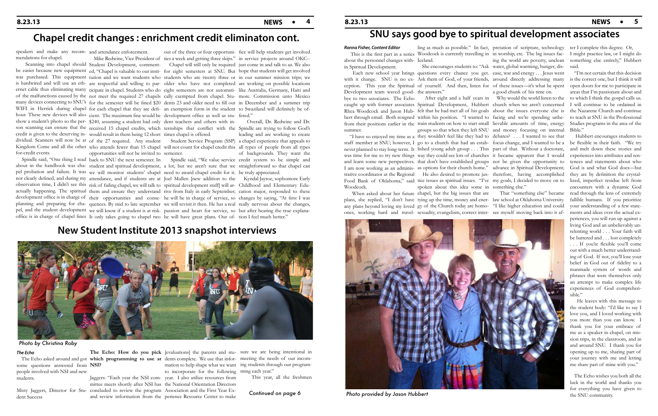### **Chapel credit changes : enrichment credit eliminaton cont.**

mendations for chapel.

speakers and make any recom-and attendance enforcement.

for-credit events.

show a student's photo so the per-\$240, assuming a student had only dent teachers and others with incredit is given to the deserving in-would result in them being 12 short times chapel is offered. dividual. Scanners will now be at of the 27 required. Any student Student Service Program (SSP) a chapel experience that appeals to Kingdom Come and all the other who attends fewer than 15 chapel will not count for chapel credit this all types of people from all types Spindle said, "One thing I read back to SNU the next semester. In Spindle said, "We value service credit system to be simple and about in the handbook was cha-student and spiritual development, a lot, but we aren't sure that we straightforward so that chapel can pel probation and failure. It was we will monitor students' chapel need to award chapel credit for it. be truly appreciated. not clearly defined, and during my attendance, and if students are at Joel Mullen [new addition to the Kyndal Jayroe, sophomore Early opportunities will not be invited to semester.

observation time, I didn't see this risk of failing chapel, we will talk to spiritual development staff] will ar-Childhood and Elementary Eduactually happening. The spiritual them and ensure they understand rive from Italy in early September; cation major, responded to these development office is in charge of their opportunities and conse- he will be in charge of service, so changes by saying, "At first I was planning and preparing for cha- quences. By mid to late september we will revisit it then. He has a real really nervous about the changes, pel, and the student development we will know if a student is at risk. passion and heart for service, so but after hearing the true explana-

office is in charge of chapel fines It only takes going to chapel two he will have great plans. Our of-tion I feel much better."

Scanning into chapel should Student Development, comment-<br>Chapel will still only be required just come in and talk to us. We also be easier because new equipment ed, "Chapel is valuable to our insti-for eight semesters at SNU. But hope that students will get involved was purchased. This equipment tution and we want students who students who are twenty three or in our summer mission trips; we is hardwired and will use an eth-are respectful and willing to par-older who have not completed are working on possible locations ernet cable thus eliminating many ticipate in chapel. Students who do eight semesters are not automati- like Australia, Germany, Haiti and of the malfunctions caused by the not meet the required 27 chapels cally exempted from chapel. Stu-more. Commission unto Mexico many devices connecting to SNU's for the semester will be fined \$20 dents 23 and older need to fill out in December and a summer trip Mike Redwine, Vice President of ties a week and getting three skips." in service projects around OKC--

out of the three or four opportuni-fice will help students get involved

WIFI in Herrick during chapel for each chapel that they are defi- an exemption form in the student to Swaziland will definitely be ofhour. These new devices will also cient. The maximum fine would be development office as well as stu- fered." son scanning can ensure that the received 15 chapel credits, which ternships that conflict with the Spindle are trying to follow God's

Development team waved good- the answers." summer.

 Overall, Dr. Redwine and Dr. leading and are working to create of backgrounds. They want the something else entirely," Hubbert said.

#### **8.23.13 NEWS 5**

## **New Student Institute 2013 snapshot interviews**



#### *The Echo*

some questions answered from **NSI?**  people involved with NSI and new students.

dent Success

Misty Jaggers, Director for Stu-concluded to review the program Association and the First Year Ex-

 The Echo asked around and got **which programming to use at**  dents complete. We use that infor-meeting the needs of our incom-The Echo: How do you pick [evaluations] the parents and stu- sure we are being intentional in Jaggers: "Each year the NSI com-year. I also utilize resources from mittee meets shortly after NSI has the National Orientation Directors and review information from the perience Resource Center to make mation to help shape what we want ing students through our programto incorporate for the following ming each year."

This year, all the freshmen

## **SNU says good bye to spiritual development associates**

#### *Ronna Fisher, Content Editor*

about the personnel changes with-Iceland. in Spiritual Development.

Woodcock.

 Each new school year brings questions every chance you get. ease, war and energy . . . Jesus went with it change. SNU is no ex-Ask them of God, of your friends, around directly addressing many ception. This year the Spiritual of yourself. And then, listen for of these issues—it's what he spent She encourages students to: "Ask water, global warming, hunger, dis-

This is the first part in a series Woodcock is currently travelling in in worship, etc. The big issues fac-I might practice law, or I might do

ling as much as possible." In fact, pretation of scripture, technology ter I complete this degree. Or, ing the world are poverty, unclean a good chunk of his time on.

 When asked about her future chapel, but the big issues that are plans, she replied, "I don't have tying up the time, money and ener-law school at Oklahoma University. any plans beyond loving my loved gy of the Church today are homo-"I like higher education and could ones, working hard and travel-sexuality, evangelism, correct inter-see myself moving back into it afspoken about this idea some in something else."

bye to two associates. The Echo After eight and a half years in Why would the world listen to the caught up with former associates Spiritual Development, Hubbert church when we aren't concerned Rhea Woodcock and Jason Hub-felt that he had met all of his goals about the issues everyone else is bert through email. Both resigned within his position. "I wanted to facing and we're spending unbefrom their positions earlier in the train students on how to start small lievable amounts of time, energy "I have so enjoyed my time as a they wouldn't feel like they had to debates? . . . I wanted to see that staff member at SNU; however, I go to a church that had an estab-focus change, and I wanted to be a never planned to stay long-term. It lished young adult group . . . This part of that. Without a doctorate, was time for me to try new things way they could see lots of churches it became apparent that I would and learn some new perspectives. that don't have established groups not be given the opportunity to I am now working as an adminis- as options for their church home." advance in Spiritual Development; trative coordinator at the Regional He also desired to promote jus-therefore, having accomplished groups so that when they left SNU and money focusing on internal Bible."

That "something else" became

 "I'm not certain that this decision is the correct one, but I think it will open doors for me to participate in areas that I'm passionate about and to which I think the gospel calls us. I will continue to be ordained in the Nazarene Church and continue to teach at SNU in the Professional Studies programs in the area of the

Food Bank of Oklahoma," said tice issues as spiritual issues. "I've my goals, I decided to move on to lized, imperfect residue left from Hubbert encourages students to be flexible in their faith. "We try and melt down these stories and experiences into attributes and sentences and statements about who God is and what God does—but they are by definition the crystalencounters with a dynamic God read through the lens of extremely fallible humans. If you prioritize your understanding of a few statements and ideas over the actual experiences, you will run up against a living God and an unbelievably unrelenting world . . . Your faith will be battered and . . . lost completely . . . If you're flexible you'll come out with a much better understanding of God. If not, you'll lose your belief in God out of fidelity to a manmade system of words and phrases that were themselves only an attempt to make complex life experiences of God comprehensible."

> He leaves with this message to the student body: "I'd like to say I love you, and I loved working with you more than you can know. I thank you for your embrace of me as a speaker in chapel, on mission trips, in the classroom, and in and around SNU. I thank you for opening up to me, sharing part of your journey with me and letting me share part of mine with you."

> The Echo wishes you both all the luck in the world and thanks you



#### *Photo by Christina Roby*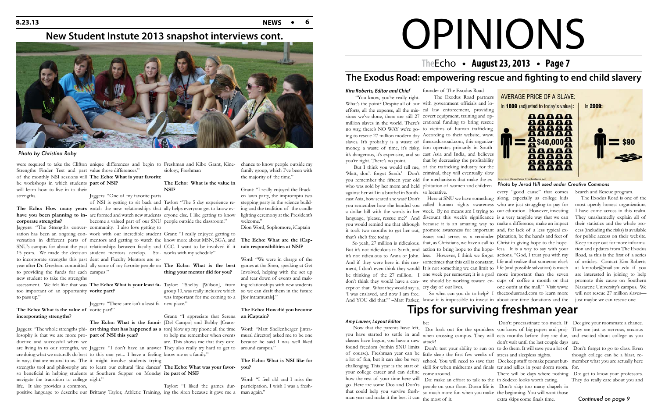## OPINIONS

### **The Echo • August 23, 2013 • Page 7**

### **The Exodus Road: empowering rescue and fighting to end child slavery**

#### *Kira Roberts, Editor and Chief*

"You know, you're really right.

you're right. There's no point.

What's the point? Despite all of our with government officials and loefforts, all the expense, all the mis-cal law enforcement, providing sions we've done, there are still 27 covert equipment, training and opmillion slaves in the world. There's erational funding to bring rescue no way, there's NO WAY we're go-to victims of human trafficking. ing to rescue 27 million modern day According to their website, www. slaves. It's probably is a waste of theexodusroad.com, this organizamoney, a waste of time, it's risky, tion operates primarily in Southit's dangerous, it's expensive, and so east Asia and India, and believes The Exodus Road partners that by decreasing the profitability



*Photo by Jerod Hill used under Creative Commons*  who was sold by her mom and held ploitation of women and children But I think you would tell me, of the trafficking industry for the 'Matt, don't forget Sarah.' Don't criminal, they will eventually slow you remember the fifteen year old the mechanisms that make the exagainst her will in a brothel in South-so lucrative. that's she's free today. cept of that. What they would say is, ery day of our lives.

founder of The Exodus Road

east Asia, how scared she was? Don't Here at SNU we have something along, especially as college kids you remember how she handed you called human rights awareness who are just struggling to pay for a dollar bill with the words in her week. By no means am I trying to our education. However, investing language, 'please, rescue me?' And discount this week's significance is a very tangible way that we can you would remind me that although because it is an amazing way to make a difference, make an impact it took two months to get her out, promote awareness for important and, for lack of a less typical ex- So yeah, 27 million is ridiculous. that, as Christians, we have a call to Christ in giving hope to the hope-But it's not ridiculous to Sarah, and action to bring hope to the hope-less. It is a way to say with your it's not ridiculous to Anna or John. less. However, I think we forget actions, "God, I trust you with my And if they were here in this mo-sometimes that this call is constant. life and realize that someone else's ment, I don't even think they would It is not something we can limit to life (and possible salvation) is much be thinking of the 27 million. I one week per semester; it is a goal more important than the seven don't think they would have a con-we should be working toward ev-cups of coffee a month or that 'I was enslaved, and now I am free. So what can you do to help? I theexodusroad.com to learn more And YOU did that.'" –Matt Parker, know it is impossible to invest in about one-time donations and the issues and serves as a reminder planation, be the hands and feet of every "good cause" that comes one outfit at the mall." Visit www.

sation has been an ongoing con-work with our incredible student Grant: "I really enjoyed getting to versation in different parts of mentors and getting to watch the know more about MSN, SGA, and SNU's campus for about the past relationships between faculty and CCC. I want to be involved if it **tain responsibilities at NSI?** 

#### The Echo: What is the value of vorite part!" **incorporating strengths?**

The Echo: How many years watch the new relationships that ally helps everyone get to know ev**have you been planning to in-**are formed and watch new students eryone else. I like getting to know of NSI is getting to sit back and Taylor: "The 5 day experience reSearch and Rescue program.

 The Exodus Road is one of the most openly honest organizations I have come across in this realm. They unashamedly explain all of their statistics and the whole process (including the risks) is available for public access on their website. Keep an eye out for more information and updates from The Exodus Road, as this is the first of a series of articles. Contact Kira Roberts at kirarobe@mail.snu.edu if you are interested in joining to help promote this cause on Southern Nazarene University's campus. We will not rescue 27 million slaves just maybe we can rescue one.

#### **New Student Instute 2013 snapshot interviews cont.**



Strengths Finder Test and part value those differences." be workshops in which students **part of NSI?**  will learn how to live in to their strengths.

## **corporate strengths?**

to providing the funds for each campus!" new student to take the strengths too important of an opportunity **vorite part?**  to pass up."

## of the monthly NSI sessions will **The Echo: What is your favorite**

losophy is that we are more pro-**part of NSI this year?**  ductive and successful when we navigate the transition to college night." life. It also provides a common,

were required to take the Clifton unique differences and begin to Freshman and Kibo Grant, Kine-chance to know people outside my siology, Freshman

Jaggers: "One of my favorite parts

Jaggers: "The Strengths conver-community. I also love getting to 15 years. We made the decision student mentors develop. Stu- works with my schedule" to incorporate strengths this past dent and Faculty Mentors are rebecome a valued part of our SNU people outside the classroom."

Jaggers: "There sure isn't a least fa- new place."

#### year after Dr. Gresham committed ally some of my favorite people on **The Echo: What is the best thing your mentor did for you?**

are living in to our strengths, we Jaggers: "I don't have an answer They also really try hard to get to around campus." are doing what we naturally do best to this one yet... I have a feeling know me as a family." in ways that are natural to us. The it might involve students trying so beneficial in helping students at Southern Supper on Monday **ite part of NSI?** 

assessment. We felt like that was **The Echo: What is your least fa-**Taylor: "Shelby [Wilson], from ing relationships with new students group 10, was really inclusive which was important for me coming to a [for intramurals]."

#### **The Echo: What is the value in NSI?**

Jaggers: "The whole strengths phi-**est thing that has happened as a**  ton] blow up my phone all the time Word: "Matt Shellenberger [intraare. This shows me that they care. because he said I was well liked mural director] asked me to be one

## **The Echo: What is the funni-**[Del Campo] and Bobby [Crans-

positive language to describe our Brittany Taylor, Athletic Training, ing the siren because it gave me a man again."

Grant: "I appreciate that Serena **an iCaptain?**  to help me remember when events

## strengths tool and philosophy are to learn our cultural 'line dances' The Echo: What was your favor- you?

family group, which I've been with the majority of the time."

Grant: "I really enjoyed the Bracken lawn party, the impromptu two stepping party in the science building and the tradition of the candle lighting ceremony at the President's welcome."

Dion Word, Sophomore, iCaptain

## **The Echo: What are the iCap-**

Taylor: "I liked the games dur-participation. I wish I was a fresh-

Word: "We were in charge of the games at the Siren, speaking at Get Involved, helping with the set up and tear down of events and makso we can draft them in the future

## **The Echo: How did you become**

## **The Echo: What is NSI like for**

Word: "I feel old and I miss the

#### *Photo by Christina Roby*

## **Tips for surviving freshman year**

#### *Amy Lauver, Layout Editor*

 Now that the parents have left, you have started to settle in and when crossing campus. They will ects months before they are due, and excited about college as you classes have begun, you have a new attack! found freedom (within SNU limits Don't: test your ability to run on to do them. It will save you a lot of Don't: forget to go to class. Even of course). Freshman year can be little sleep the first few weeks of stress and sleepless nights. a lot of fun, but it can also be very school. You will need to save that Do: keep stuff to make peanut but- member what you are actually here challenging. This year is the start of skill for when midterms and finals ter and jellies in your dorm room. for. your college career and can define come around. how the rest of your time here will Do: make an effort to talk to the in Sodexo looks worth eating. go. Here are some Dos and Don'ts people on your floor. Dorm life is Don't: skip too many chapels in that could help you survive fresh-so much more fun when you make the beginning. You will want those man year and make it the best it can the most of it. be: Do: look out for the sprinklers you know of big papers and proj-They are just as nervous, anxious Don't: procrastinate too much. If Do: give your roommate a chance. don't wait until the last couple days are. There will be days where nothing Do: get to know your professors. extra skips come finals time. though college can be a blast, re-They do really care about you and *Continued on page 9*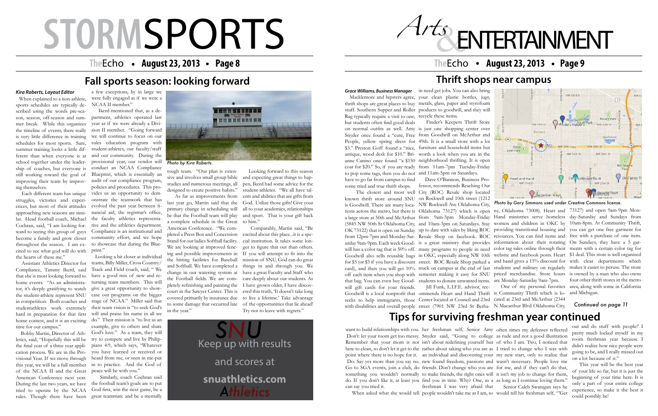## **STORM**SPORTS

### **The Echo • August 23, 2013 • Page 8**

## **Fall sports season: looking forward**

#### *Kira Roberts, Layout Editor*

When explained to a non-athlete, sports schedules are typically described using the words pre-season, season, off-season and summer break. While this organizes the timeline of events, there really is very little difference in training we will continue to focus on our schedules for most sports. Sure, summer training looks a little different than when everyone is at school together under the leadership of coaches, but everyone is still working toward the goal of Blueprint, which is essentially an improving their team by improv-audit of our compliance program, ing themselves.

 Each different team has unique struggles, victories and experiences, but most of their attitudes approaching new seasons are similar. Head football coach, Michael ward to seeing this group of guys throughout the season. I am excited to see what god will do with the hearts of these me."



 Assistant Athletics Director for Compliance, Tammy Ikerd, said that she is most looking forward to home events. "As an administrator, it's deeply gratifying to watch the student-athlete represent SNU in competition. Both coaches and studentathletes work extremely hard in preparation for that first home contest, and it is an exciting time for our campus."

During the last two years, we have the football team's goals are to put tried to operate by the NCAA God first, win the next game, be a Similarly, coach Cochran said



Cochran, said, "I am looking for-tive and the athletics department. become a family and grow closer community effort, and we hope *Photo by Kira Roberts.* provisional year, our vendor will Ikerd mentioned that, as a department, athletics operated last year as if we were already a Division II member. "Going forward rules education program with student-athletes, our faculty/staff and our community. During the conduct an NCAA Compliance policies and procedures. This provides us an opportunity to demonstrate the teamwork that has evolved the past year between financial aid, the registrar's office, the faculty athletics representa-Compliance is an institutional and to showcase that during the Blueprint."

a few exceptions, by in large we were fully engaged as if we were a NCAA II member."

 Bobby Martin, Director of Athletics, said, "Hopefully this will be the final year of a three year application process. We are in the Provisional Year. If we move through this year, we will be a full member of the NCAA II and the Great American Conference next year. rules. Though there have been great teammate and be a mentally

 Looking a bit closer at individual teams, Billy Miller, Cross Country/ Track and Field coach, said, " We have a good mix of new and returning team members. This will give a great opportunity to showcase our programs on the bigger stage of NCAA." Miller said that their team vision is "to seek God's will and praise his name in all we do." Their mission is "to live as an example, give to others and share God's love." As a team, they will try to compete and live by Philippians 4:9, which says, "Whatever you have learned or received or heard from me, or seen in me-put in to practice. And the God of peace will be with you."

tough team. "Our plan is extensive and involves small group bible studies and numerous meetings, all designed to create positive habits."

 As far as improvements from last year go, Martin said that the primary change in scheduling will be that the Football team will play a complete schedule in the Great American Conference. "We completed a Press Box and Concession Stand for our ladies Softball facility. We are looking at improved fencing and possible improvements in the hitting facilities for Baseball and Softball. We have completed a court in the Sawyer Center. This is covered primarily by insurance due to some damage that occurred late in the year."

NW 23rd St some tried and true thrift shops. fessor, recommends Reaching Our The closest and most well City (ROC) Resale shop located **Cargonaritan Ways** known thrift store around SNU on Rockwell and 10th street (1212 is Goodwill. There are many loca-NW Rockwell Ave Oklahoma City, ny, Oklahoma 73008). Heart and 73127) and open 9am-9pm Montions across the metro, but there is Oklahoma 73127) which is open Hand ministries serve homeless day-Saturday and Sundays from a large store at 50th and McArthur from 9am-5pm Monday-Friday women and children in OKC by 10am-8pm. At Community Thrift, (5845 NW 50th St Oklahoma City, and 10am-3pm on Saturdays. Stay providing transitional housing and you can get one free garment for OK 73122) that is open on Sunday up to date with sales by liking ROC from 12pm-7pm and Monday-Sat-Resale Shop on facebook. ROC resources. You can find items and free with a purchase of one item. information about their rotating On Sundays, they have a 5 garurday 9am-9pm. Each week Good-is a great ministry that provides will has a color tag that is 50% off. many programs to people in need color tag sales online through their ments with a certain color tag for Goodwill also sells reusable bags in OKC, especially along NW 10th website and facebook posts. Heart \$1 deal. This store is well organized for \$5 (or \$3 if you have a discount street. ROC Resale Shop parked a and hand gives a 15% discount for with clear departments which card), and then you will get 10% truck on campus at the end of last students and military on regularly makes it easier to peruse. The store off each item when you shop with semester making it easy for SNU priced merchandise. Store hours is owned by a man who also owns that bag. You can even buy Good-students to donate unwanted items. are Monday-Saturday 9am-7pm. One of my personal favorites area, along with some in California Jill Funk, L.I.F.E. advisor, recwill gift cards for your friends. Goodwill is a local nonprofit that ommends Heart and Hand Thrift is Community Thrift which is lo-and Michigan. seeks to help immigrants, those Center located at Council and 23rd cated at 23rd and McArthur (2344 with disabilities and overall people street (7901 NW 23rd St Betha-N Macarthur Blvd Oklahoma City,

 Looking forward to this season and expecting great things to happen, Ikerd had some advice for the student-athletes. "We all have talents and abilities that are gifts from God. Utilize those gifts! Give your all to your academics, relationships and sport. That is your gift back to him."

change in our watering system at have a great Faculty and Staff who the Football fields. We are com-care deeply about our students. As pletely refinishing and painting the I have grown older, I have discov- Comparably, Martin said, "Be excited about this place...it is a special institution. It takes some longer to figure that out than others. If you will attempt to fit into the mission of SNU, God can do great things in and through you. We ered this truth, 'It doesn't take long to live a lifetime.' Take advantage of the opportunities that lie ahead! Try not to leave with regrets."

## **Thrift shops near campus**

*Grace Williams, Business Manager* in need get jobs. You can also bring Macklemore and hipsters agree, your clean plastic bottles, jugs, thrift shops are great places to buy metals, glass, paper and styrofoam stuff. Southern Supper and Roller products to goodwill, and they will Rag typically require a visit to one, recycle these items. but students often find good deals on normal outfits as well. Amy is just one shopping center over Snyder once found a "cute, Free from Goodwill on McArthur and People, yellow spring dress for 49th. It is a small store with a lot \$3." Preston Goff found a "nice, furniture and household items but antique, wood desk for \$10." Bri-worth a look when you are in the anne Canino once found "a \$150 neighborhood thrifting. It is open coat for \$20." So, if you are ready from 11am-7pm Tuesday-Friday to pop some tags, then you do not and 11am-5pm on Saturdays. have to go far from campus to find Finder's Keepers Thrift Store Dave O'Bannon, Business Pro-

four other thrift stores in the metro



*Photo by Gary Simmons used under Creative Commons license.*

#### *Continued on page 11*

## **Tips for surviving freshman year continued**

want to build relationships with you. her freshman self, Senior Amy often times my defenses reflected Don't: let your room get too messy. Snyder said, "Going to college as rude and not a good illustration Remember that your mom is not isn't about redefining yourself but of who I am. Two, I noticed that here to clean, so don't let it get to the rather about taking who you are as I tried to change who I was with point where there is no hope for it. an individual and discovering your my new start, only to realize that Do: Say yes more than you say no. new found freedom, passions and wasn't necessary. People love me Go to SGA events, join a club, do friends. Don't change who you are for me, and if they can't do that, something you wouldn't normally to make friends, the right ones will it isn't my job to change for them, do. If you don't like it, at least you find you in time. Why? One, as a as long as I continue loving them." can say you tried it. When asked what she would tell people wouldn't take me as I am, so would tell his freshman self, "Get freshman I was very afraid that Senior Caleb Swanigan says he

## **ENTERTAINMENT**

#### **The Echo • August 23, 2013 • Page 9**

out and do stuff with people!' I pretty much locked myself in my room freshman year because I didn't realize how nice people were going to be, and I really missed out on a lot because of it."

 This year will be the best year of your life so far, but it is just the beginning of your time here. It is only a part of your entire college experience, so make it the best it could possibly be!